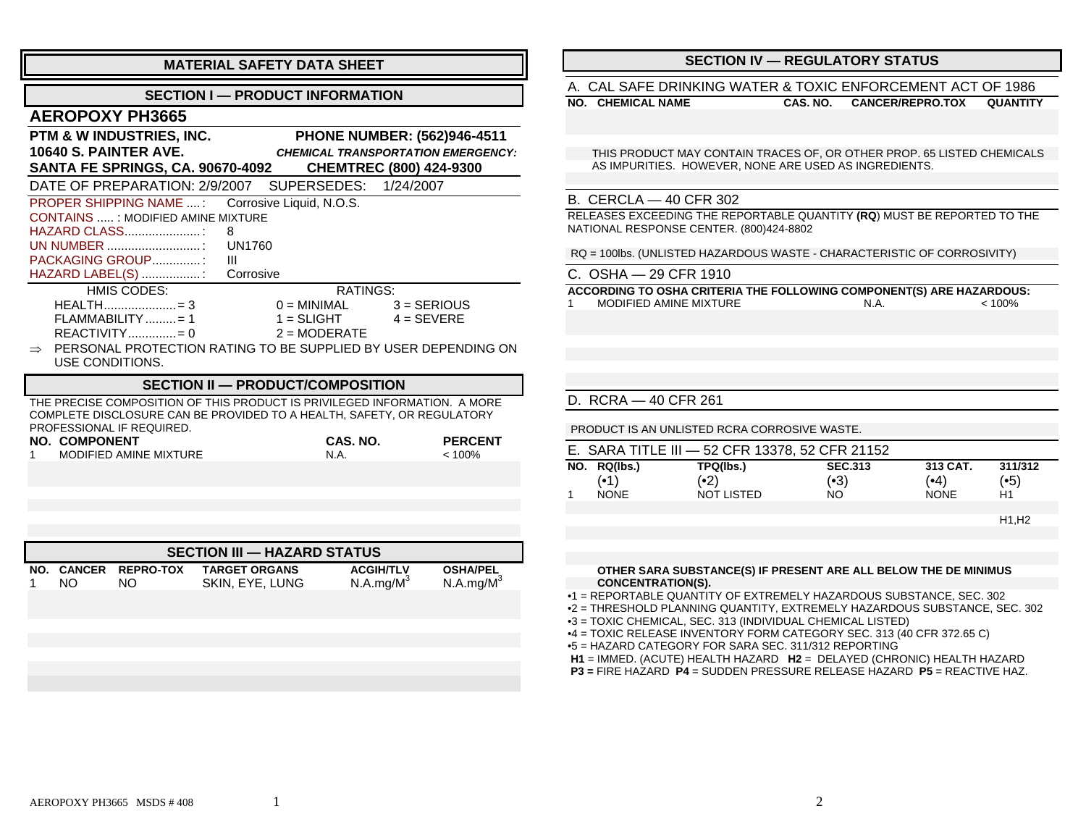| <b>MATERIAL SAFETY DATA SHEET</b>                                            |                             |                                           |  |
|------------------------------------------------------------------------------|-----------------------------|-------------------------------------------|--|
| <b>SECTION I — PRODUCT INFORMATION</b>                                       |                             |                                           |  |
| <b>AEROPOXY PH3665</b>                                                       |                             |                                           |  |
| PTM & W INDUSTRIES, INC.                                                     |                             | <b>PHONE NUMBER: (562)946-4511</b>        |  |
| <b>10640 S. PAINTER AVE.</b>                                                 |                             | <b>CHEMICAL TRANSPORTATION EMERGENCY:</b> |  |
| <b>SANTA FE SPRINGS, CA. 90670-4092</b>                                      |                             | <b>CHEMTREC (800) 424-9300</b>            |  |
| DATE OF PREPARATION: 2/9/2007 SUPERSEDES: 1/24/2007                          |                             |                                           |  |
| PROPER SHIPPING NAME : Corrosive Liquid, N.O.S.                              |                             |                                           |  |
| <b>CONTAINS : MODIFIED AMINE MIXTURE</b>                                     |                             |                                           |  |
| HAZARD CLASS:<br>8                                                           |                             |                                           |  |
| <b>UN1760</b>                                                                |                             |                                           |  |
| PACKAGING GROUP:<br>Ш                                                        |                             |                                           |  |
| HAZARD LABEL(S) : Corrosive                                                  |                             |                                           |  |
| HMIS CODES:                                                                  | RATINGS:                    |                                           |  |
| HEALTH = 3                                                                   | $0 = MINIMAL$ $3 = SERIOUS$ |                                           |  |
| $FLAMMABILITY$ = 1                                                           | 1 = $SLIGHT$                | $4 = SEVERE$                              |  |
| $REACTIVITY$ = 0                                                             | $2 = \text{MODERATE}$       |                                           |  |
| $\Rightarrow$ PERSONAL PROTECTION RATING TO BE SUPPLIED BY USER DEPENDING ON |                             |                                           |  |
| USE CONDITIONS.                                                              |                             |                                           |  |
| SECTION II — PRODUCT/COMPOSITION                                             |                             |                                           |  |
| THE PRECISE COMPOSITION OF THIS PRODUCT IS PRIVILEGED INFORMATION. A MORE    |                             |                                           |  |
| COMPLETE DISCLOSURE CAN BE PROVIDED TO A HEALTH, SAFETY, OR REGULATORY       |                             |                                           |  |
| PROFESSIONAL IF REQUIRED.<br><b>NO. COMPONENT</b>                            | CAS. NO.                    | <b>PERCENT</b>                            |  |
| MODIFIED AMINE MIXTURE<br>1.                                                 | N.A.                        | < 100%                                    |  |

| <b>SECTION III — HAZARD STATUS</b> |     |                             |                                         |                                           |                                          |
|------------------------------------|-----|-----------------------------|-----------------------------------------|-------------------------------------------|------------------------------------------|
|                                    | NO. | NO. CANCER REPRO-TOX<br>NO. | <b>TARGET ORGANS</b><br>SKIN, EYE, LUNG | <b>ACGIH/TLV</b><br>N.A.mg/M <sup>3</sup> | <b>OSHA/PEL</b><br>N.A.mg/M <sup>3</sup> |
|                                    |     |                             |                                         |                                           |                                          |

## **SECTION IV — REGULATORY STATUS**

### A. CAL SAFE DRINKING WATER & TOXIC ENFORCEMENT ACT OF 1986

**NO. CHEMICAL NAME**

**CAS. NO. CANCER/REPRO.TOX QUANTITY**

 THIS PRODUCT MAY CONTAIN TRACES OF, OR OTHER PROP. 65 LISTED CHEMICALS AS IMPURITIES. HOWEVER, NONE ARE USED AS INGREDIENTS.

### B. CERCLA — 40 CFR 302

RELEASES EXCEEDING THE REPORTABLE QUANTITY **(RQ**) MUST BE REPORTED TO THE NATIONAL RESPONSE CENTER. (800)424-8802

RQ = 100lbs. (UNLISTED HAZARDOUS WASTE - CHARACTERISTIC OF CORROSIVITY)

| C. OSHA — 29 CFR 1910                              |  |
|----------------------------------------------------|--|
| <b>ACCORDING TO OSHA CRITERIA THE FOLLOWING CO</b> |  |

 **OSHA CRITERIA THE FOLLOWING COMPONENT(S) ARE HAZARDOUS:** 1 MODIFIED AMINE MIXTURE $N.A.$   $< 100\%$ 

#### D. RCRA — 40 CFR 261

PRODUCT IS AN UNLISTED RCRA CORROSIVE WASTE.

|              | E. SARA TITLE III - 52 CFR 13378, 52 CFR 21152 |                |             |         |
|--------------|------------------------------------------------|----------------|-------------|---------|
| NO. RQ(lbs.) | TPQ(lbs.)                                      | <b>SEC.313</b> | 313 CAT.    | 311/312 |
| (∙1)         | (•2)                                           | (•3)           | (•4)        | (•5)    |
| <b>NONF</b>  | NOT LISTED                                     | NO.            | <b>NONE</b> | Η1      |
|              |                                                |                |             |         |

H1,H2

#### **OTHER SARA SUBSTANCE(S) IF PRESENT ARE ALL BELOW THE DE MINIMUS CONCENTRATION(S).**

•1 = REPORTABLE QUANTITY OF EXTREMELY HAZARDOUS SUBSTANCE, SEC. 302

•2 = THRESHOLD PLANNING QUANTITY, EXTREMELY HAZARDOUS SUBSTANCE, SEC. 302

•3 = TOXIC CHEMICAL, SEC. 313 (INDIVIDUAL CHEMICAL LISTED)

•4 = TOXIC RELEASE INVENTORY FORM CATEGORY SEC. 313 (40 CFR 372.65 C)

•5 = HAZARD CATEGORY FOR SARA SEC. 311/312 REPORTING

**H1** = IMMED. (ACUTE) HEALTH HAZARD **H2** = DELAYED (CHRONIC) HEALTH HAZARD

 **P3 =** FIRE HAZARD **P4** = SUDDEN PRESSURE RELEASE HAZARD **P5** = REACTIVE HAZ.